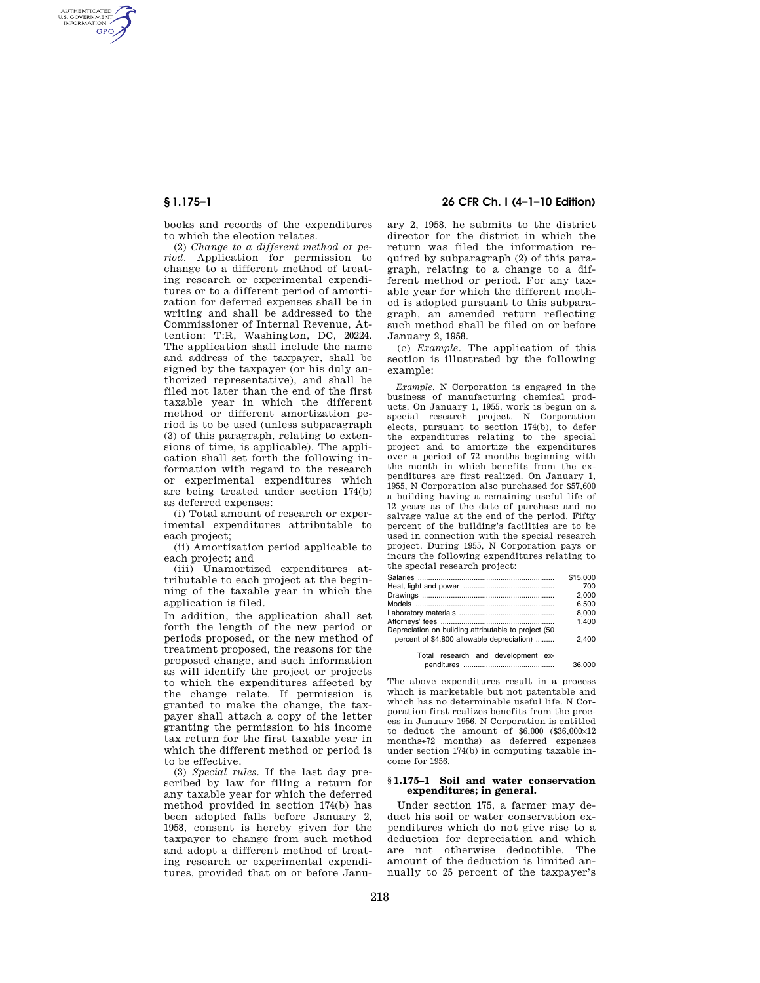AUTHENTICATED<br>U.S. GOVERNMENT<br>INFORMATION **GPO** 

> books and records of the expenditures to which the election relates.

> (2) *Change to a different method or period.* Application for permission to change to a different method of treating research or experimental expenditures or to a different period of amortization for deferred expenses shall be in writing and shall be addressed to the Commissioner of Internal Revenue, Attention: T:R, Washington, DC, 20224. The application shall include the name and address of the taxpayer, shall be signed by the taxpayer (or his duly authorized representative), and shall be filed not later than the end of the first taxable year in which the different method or different amortization period is to be used (unless subparagraph (3) of this paragraph, relating to extensions of time, is applicable). The application shall set forth the following information with regard to the research or experimental expenditures which are being treated under section 174(b) as deferred expenses:

(i) Total amount of research or experimental expenditures attributable to each project;

(ii) Amortization period applicable to each project; and

(iii) Unamortized expenditures attributable to each project at the beginning of the taxable year in which the application is filed.

In addition, the application shall set forth the length of the new period or periods proposed, or the new method of treatment proposed, the reasons for the proposed change, and such information as will identify the project or projects to which the expenditures affected by the change relate. If permission is granted to make the change, the taxpayer shall attach a copy of the letter granting the permission to his income tax return for the first taxable year in which the different method or period is to be effective.

(3) *Special rules.* If the last day prescribed by law for filing a return for any taxable year for which the deferred method provided in section 174(b) has been adopted falls before January 2, 1958, consent is hereby given for the taxpayer to change from such method and adopt a different method of treating research or experimental expenditures, provided that on or before Janu-

# **§ 1.175–1 26 CFR Ch. I (4–1–10 Edition)**

ary 2, 1958, he submits to the district director for the district in which the return was filed the information required by subparagraph (2) of this paragraph, relating to a change to a different method or period. For any taxable year for which the different method is adopted pursuant to this subparagraph, an amended return reflecting such method shall be filed on or before January 2, 1958.

(c) *Example.* The application of this section is illustrated by the following example:

*Example.* N Corporation is engaged in the business of manufacturing chemical products. On January 1, 1955, work is begun on a special research project. N Corporation elects, pursuant to section 174(b), to defer the expenditures relating to the special project and to amortize the expenditures over a period of 72 months beginning with the month in which benefits from the expenditures are first realized. On January 1, 1955, N Corporation also purchased for \$57,600 a building having a remaining useful life of 12 years as of the date of purchase and no salvage value at the end of the period. Fifty percent of the building's facilities are to be used in connection with the special research project. During 1955, N Corporation pays or incurs the following expenditures relating to the special research project:

|                                                      | \$15,000 |
|------------------------------------------------------|----------|
|                                                      | 700      |
|                                                      | 2.000    |
|                                                      | 6.500    |
|                                                      | 8.000    |
|                                                      | 1.400    |
| Depreciation on building attributable to project (50 |          |
| percent of \$4,800 allowable depreciation)           | 2.400    |
| Total research and development ex-                   |          |
|                                                      | 36,000   |

The above expenditures result in a process which is marketable but not patentable and which has no determinable useful life. N Corporation first realizes benefits from the process in January 1956. N Corporation is entitled to deduct the amount of  $$6,000$   $$36,000\times12$ months÷72 months) as deferred expenses under section 174(b) in computing taxable income for 1956.

## **§ 1.175–1 Soil and water conservation expenditures; in general.**

Under section 175, a farmer may deduct his soil or water conservation expenditures which do not give rise to a deduction for depreciation and which are not otherwise deductible. The amount of the deduction is limited annually to 25 percent of the taxpayer's